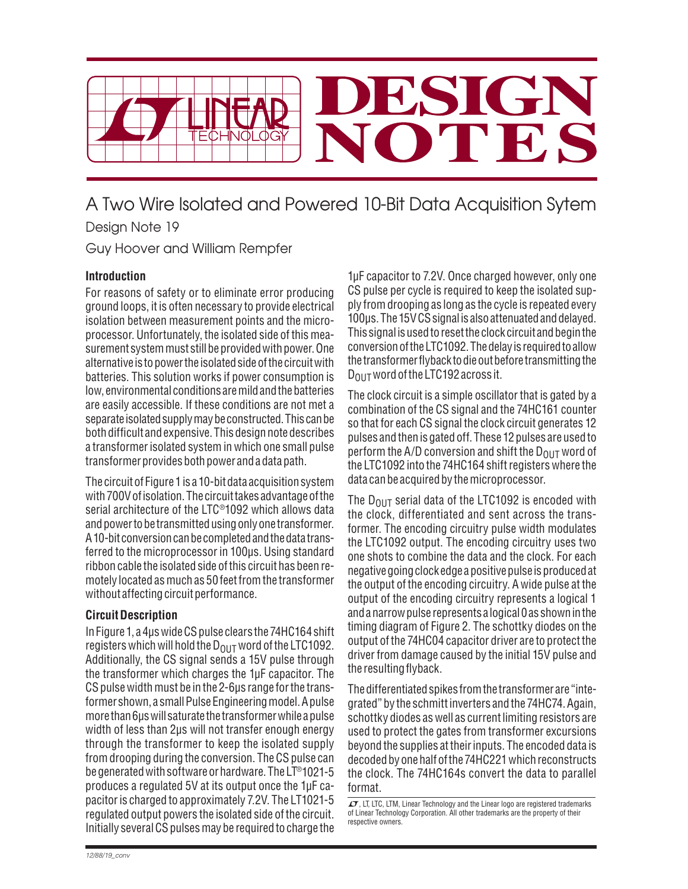

## A Two Wire Isolated and Powered 10-Bit Data Acquisition Sytem Design Note 19

Guy Hoover and William Rempfer

## **Introduction**

For reasons of safety or to eliminate error producing ground loops, it is often necessary to provide electrical isolation between measurement points and the microprocessor. Unfortunately, the isolated side of this measurement system must still be provided with power. One alternative is to power the isolated side of the circuit with batteries. This solution works if power consumption is low, environmental conditions are mild and the batteries are easily accessible. If these conditions are not met a separate isolated supply may be constructed. This can be both difficult and expensive. This design note describes a transformer isolated system in which one small pulse transformer provides both power and a data path.

The circuit of Figure 1 is a 10-bit data acquisition system with 700V of isolation. The circuit takes advantage of the serial architecture of the LTC®1092 which allows data and power to be transmitted using only one transformer. A 10-bit conversion can be completed and the data transferred to the microprocessor in 100μs. Using standard ribbon cable the isolated side of this circuit has been remotely located as much as 50 feet from the transformer without affecting circuit performance.

## **Circuit Description**

In Figure 1, a 4μs wide CS pulse clears the 74HC164 shift registers which will hold the  $D_{OUT}$  word of the LTC1092. Additionally, the CS signal sends a 15V pulse through the transformer which charges the 1μF capacitor. The CS pulse width must be in the 2-6μs range for the transformer shown, a small Pulse Engineering model. A pulse more than 6μs will saturate the transformer while a pulse width of less than 2μs will not transfer enough energy through the transformer to keep the isolated supply from drooping during the conversion. The CS pulse can be generated with software or hardware. The LT®1021-5 produces a regulated 5V at its output once the 1μF capacitor is charged to approximately 7.2V. The LT1021-5 regulated output powers the isolated side of the circuit. Initially several CS pulses may be required to charge the 1μF capacitor to 7.2V. Once charged however, only one CS pulse per cycle is required to keep the isolated supply from drooping as long as the cycle is repeated every 100μs. The 15V CS signal is also attenuated and delayed. This signal is used to reset the clock circuit and begin the conversion of the LTC1092. The delay is required to allow the transformer fl yback to die out before transmitting the D<sub>OUT</sub> word of the LTC192 across it.

The clock circuit is a simple oscillator that is gated by a combination of the CS signal and the 74HC161 counter so that for each CS signal the clock circuit generates 12 pulses and then is gated off. These 12 pulses are used to perform the A/D conversion and shift the  $D_{OUT}$  word of the LTC1092 into the 74HC164 shift registers where the data can be acquired by the microprocessor.

The  $D_{OUT}$  serial data of the LTC1092 is encoded with the clock, differentiated and sent across the transformer. The encoding circuitry pulse width modulates the LTC1092 output. The encoding circuitry uses two one shots to combine the data and the clock. For each negative going clock edge a positive pulse is produced at the output of the encoding circuitry. A wide pulse at the output of the encoding circuitry represents a logical 1 and a narrow pulse represents a logical 0 as shown in the timing diagram of Figure 2. The schottky diodes on the output of the 74HC04 capacitor driver are to protect the driver from damage caused by the initial 15V pulse and the resulting flyback.

The differentiated spikes from the transformer are "integrated" by the schmitt inverters and the 74HC74. Again, schottky diodes as well as current limiting resistors are used to protect the gates from transformer excursions beyond the supplies at their inputs. The encoded data is decoded by one half of the 74HC221 which reconstructs the clock. The 74HC164s convert the data to parallel format.

 $I$ , LT, LTC, LTM, Linear Technology and the Linear logo are registered trademarks of Linear Technology Corporation. All other trademarks are the property of their respective owners.